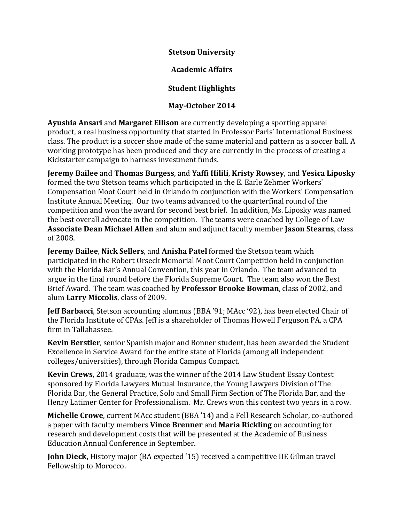**Stetson University**

**Academic Affairs**

## **Student Highlights**

## **May-October 2014**

**Ayushia Ansari** and **Margaret Ellison** are currently developing a sporting apparel product, a real business opportunity that started in Professor Paris' International Business class. The product is a soccer shoe made of the same material and pattern as a soccer ball. A working prototype has been produced and they are currently in the process of creating a Kickstarter campaign to harness investment funds.

**Jeremy Bailee** and **Thomas Burgess**, and **Yaffi Hilili**, **Kristy Rowsey**, and **Yesica Liposky** formed the two Stetson teams which participated in the E. Earle Zehmer Workers' Compensation Moot Court held in Orlando in conjunction with the Workers' Compensation Institute Annual Meeting. Our two teams advanced to the quarterfinal round of the competition and won the award for second best brief. In addition, Ms. Liposky was named the best overall advocate in the competition. The teams were coached by College of Law **Associate Dean Michael Allen** and alum and adjunct faculty member **Jason Stearns**, class of 2008.

**Jeremy Bailee**, **Nick Sellers**, and **Anisha Patel** formed the Stetson team which participated in the Robert Orseck Memorial Moot Court Competition held in conjunction with the Florida Bar's Annual Convention, this year in Orlando. The team advanced to argue in the final round before the Florida Supreme Court. The team also won the Best Brief Award. The team was coached by **Professor Brooke Bowman**, class of 2002, and alum **Larry Miccolis**, class of 2009.

**Jeff Barbacci**, Stetson accounting alumnus (BBA '91; MAcc '92), has been elected Chair of the Florida Institute of CPAs. Jeff is a shareholder of Thomas Howell Ferguson PA, a CPA firm in Tallahassee.

**Kevin Berstler**, senior Spanish major and Bonner student, has been awarded the Student Excellence in Service Award for the entire state of Florida (among all independent colleges/universities), through Florida Campus Compact.

**Kevin Crews**, 2014 graduate, was the winner of the 2014 Law Student Essay Contest sponsored by Florida Lawyers Mutual Insurance, the Young Lawyers Division of The Florida Bar, the General Practice, Solo and Small Firm Section of The Florida Bar, and the Henry Latimer Center for Professionalism. Mr. Crews won this contest two years in a row.

**Michelle Crowe**, current MAcc student (BBA '14) and a Fell Research Scholar, co-authored a paper with faculty members **Vince Brenner** and **Maria Rickling** on accounting for research and development costs that will be presented at the Academic of Business Education Annual Conference in September.

**John Dieck,** History major (BA expected '15) received a competitive IIE Gilman travel Fellowship to Morocco.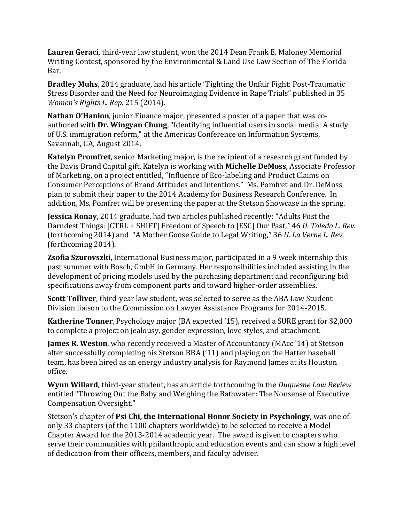**Lauren Geraci**, third-year law student, won the 2014 Dean Frank E. Maloney Memorial Writing Contest, sponsored by the Environmental & Land Use Law Section of The Florida Bar.

**Bradley Muhs**, 2014 graduate, had his article "Fighting the Unfair Fight: Post-Traumatic Stress Disorder and the Need for Neuroimaging Evidence in Rape Trials" published in 35 *Women's Rights L. Rep.* 215 (2014).

**Nathan O'Hanlon**, junior Finance major, presented a poster of a paper that was coauthored with **Dr. Wingyan Chung**, "Identifying influential users in social media: A study of U.S. immigration reform," at the Americas Conference on Information Systems, Savannah, GA, August 2014.

**Katelyn Promfret**, senior Marketing major, is the recipient of a research grant funded by the Davis Brand Capital gift. Katelyn is working with **Michelle DeMoss**, Associate Professor of Marketing, on a project entitled, "Influence of Eco-labeling and Product Claims on Consumer Perceptions of Brand Attitudes and Intentions." Ms. Pomfret and Dr. DeMoss plan to submit their paper to the 2014 Academy for Business Research Conference. In addition, Ms. Pomfret will be presenting the paper at the Stetson Showcase in the spring.

**Jessica Ronay**, 2014 graduate, had two articles published recently: "Adults Post the Darndest Things: [CTRL + SHIFT] Freedom of Speech to [ESC] Our Past*,"* 46 *U. Toledo L. Rev.* (forthcoming 2014) and "A Mother Goose Guide to Legal Writing," 36 *U. La Verne L. Rev.* (forthcoming 2014).

**Zsofia Szurovszki**, International Business major, participated in a 9 week internship this past summer with Bosch, GmbH in Germany. Her responsibilities included assisting in the development of pricing models used by the purchasing department and reconfiguring bid specifications away from component parts and toward higher-order assemblies.

**Scott Tolliver**, third-year law student, was selected to serve as the ABA Law Student Division liaison to the Commission on Lawyer Assistance Programs for 2014-2015.

**Katherine Tonner**, Psychology major (BA expected '15), received a SURE grant for \$2,000 to complete a project on jealousy, gender expression, love styles, and attachment.

**James R. Weston**, who recently received a Master of Accountancy (MAcc '14) at Stetson after successfully completing his Stetson BBA ('11) and playing on the Hatter baseball team, has been hired as an energy industry analysis for Raymond James at its Houston office.

**Wynn Willard**, third-year student, has an article forthcoming in the *Duquesne Law Review* entitled "Throwing Out the Baby and Weighing the Bathwater: The Nonsense of Executive Compensation Oversight."

Stetson's chapter of **Psi Chi, the International Honor Society in Psychology**, was one of only 33 chapters (of the 1100 chapters worldwide) to be selected to receive a Model Chapter Award for the 2013-2014 academic year. The award is given to chapters who serve their communities with philanthropic and education events and can show a high level of dedication from their officers, members, and faculty adviser.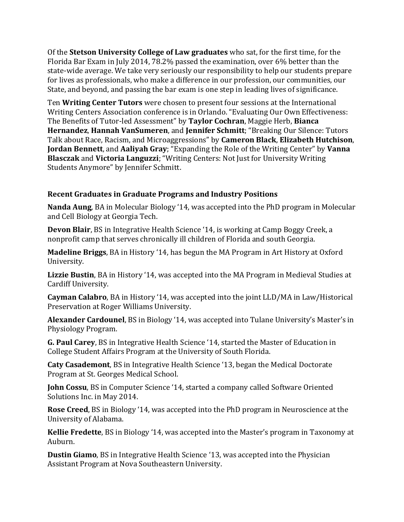Of the **Stetson University College of Law graduates** who sat, for the first time, for the Florida Bar Exam in July 2014, 78.2% passed the examination, over 6% better than the state-wide average. We take very seriously our responsibility to help our students prepare for lives as professionals, who make a difference in our profession, our communities, our State, and beyond, and passing the bar exam is one step in leading lives of significance.

Ten **Writing Center Tutors** were chosen to present four sessions at the International Writing Centers Association conference is in Orlando. "Evaluating Our Own Effectiveness: The Benefits of Tutor-led Assessment" by **Taylor Cochran**, Maggie Herb, **Bianca Hernandez**, **Hannah VanSumeren**, and **Jennifer Schmitt**; "Breaking Our Silence: Tutors Talk about Race, Racism, and Microaggressions" by **Cameron Black**, **Elizabeth Hutchison**, **Jordan Bennett**, and **Aaliyah Gray**; "Expanding the Role of the Writing Center" by **Vanna Blasczak** and **Victoria Languzzi**; "Writing Centers: Not Just for University Writing Students Anymore" by Jennifer Schmitt.

## **Recent Graduates in Graduate Programs and Industry Positions**

**Nanda Aung**, BA in Molecular Biology '14, was accepted into the PhD program in Molecular and Cell Biology at Georgia Tech.

**Devon Blair**, BS in Integrative Health Science '14, is working at Camp Boggy Creek, a nonprofit camp that serves chronically ill children of Florida and south Georgia.

**Madeline Briggs**, BA in History '14, has begun the MA Program in Art History at Oxford University.

**Lizzie Bustin**, BA in History '14, was accepted into the MA Program in Medieval Studies at Cardiff University.

**Cayman Calabro**, BA in History '14, was accepted into the joint LLD/MA in Law/Historical Preservation at Roger Williams University.

**Alexander Cardounel**, BS in Biology '14, was accepted into Tulane University's Master's in Physiology Program.

**G. Paul Carey**, BS in Integrative Health Science '14, started the Master of Education in College Student Affairs Program at the University of South Florida.

**Caty Casademont**, BS in Integrative Health Science '13, began the Medical Doctorate Program at St. Georges Medical School.

**John Cossu**, BS in Computer Science '14, started a company called Software Oriented Solutions Inc. in May 2014.

**Rose Creed**, BS in Biology '14, was accepted into the PhD program in Neuroscience at the University of Alabama.

**Kellie Fredette**, BS in Biology '14, was accepted into the Master's program in Taxonomy at Auburn.

**Dustin Giamo**, BS in Integrative Health Science '13, was accepted into the Physician Assistant Program at Nova Southeastern University.